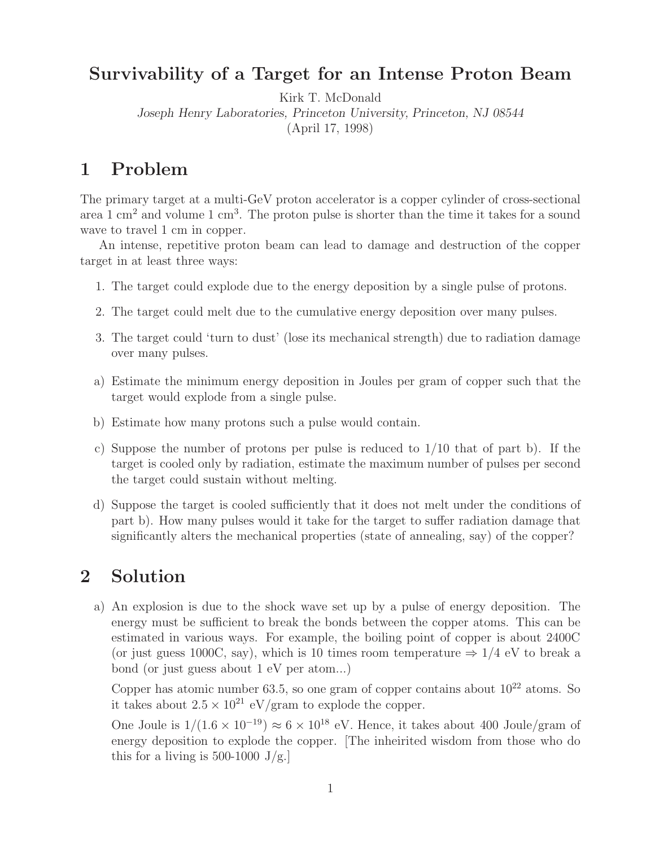## **Survivability of a Target for an Intense Proton Beam**

Kirk T. McDonald

*Joseph Henry Laboratories, Princeton University, Princeton, NJ 08544*

(April 17, 1998)

## $\mathbf{1}$

The primary target at a multi-GeV proton accelerator is a copper cylinder of cross-sectional area  $1 \text{ cm}^2$  and volume  $1 \text{ cm}^3$ . The proton pulse is shorter than the time it takes for a sound wave to travel 1 cm in copper.

An intense, repetitive proton beam can lead to damage and destruction of the copper target in at least three ways:

- 1. The target could explode due to the energy deposition by a single pulse of protons.
- 2. The target could melt due to the cumulative energy deposition over many pulses.
- 3. The target could 'turn to dust' (lose its mechanical strength) due to radiation damage over many pulses.
- a) Estimate the minimum energy deposition in Joules per gram of copper such that the target would explode from a single pulse.
- b) Estimate how many protons such a pulse would contain.
- c) Suppose the number of protons per pulse is reduced to  $1/10$  that of part b). If the target is cooled only by radiation, estimate the maximum number of pulses per second the target could sustain without melting.
- d) Suppose the target is cooled sufficiently that it does not melt under the conditions of part b). How many pulses would it take for the target to suffer radiation damage that significantly alters the mechanical properties (state of annealing, say) of the copper?

## $\overline{2}$ **2 Solution**

a) An explosion is due to the shock wave set up by a pulse of energy deposition. The energy must be sufficient to break the bonds between the copper atoms. This can be estimated in various ways. For example, the boiling point of copper is about 2400C (or just guess 1000C, say), which is 10 times room temperature  $\Rightarrow$  1/4 eV to break a bond (or just guess about 1 eV per atom...)

Copper has atomic number 63.5, so one gram of copper contains about  $10^{22}$  atoms. So it takes about  $2.5 \times 10^{21}$  eV/gram to explode the copper.

One Joule is  $1/(1.6 \times 10^{-19}) \approx 6 \times 10^{18}$  eV. Hence, it takes about 400 Joule/gram of energy deposition to explode the copper. [The inheirited wisdom from those who do this for a living is 500-1000 J/g.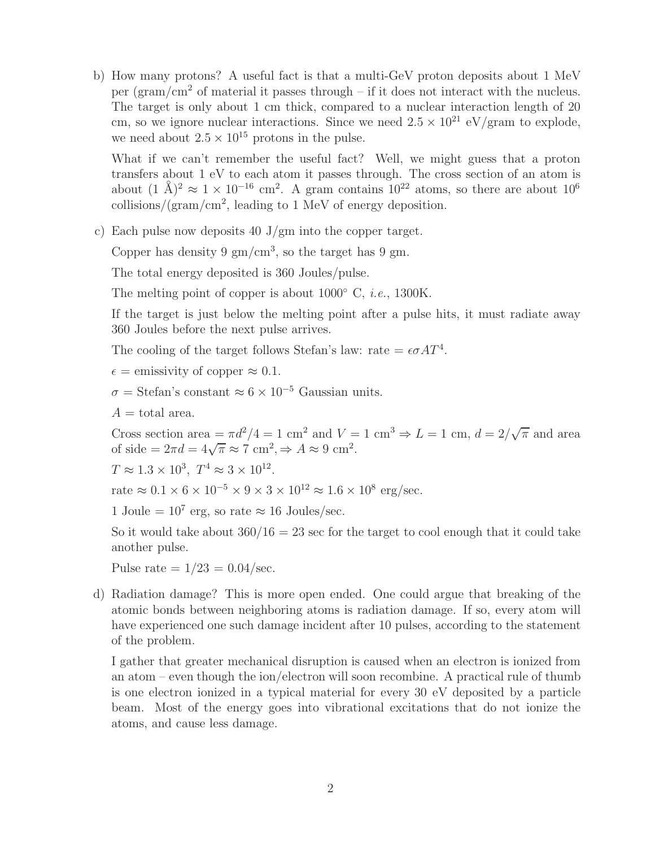b) How many protons? A useful fact is that a multi-GeV proton deposits about 1 MeV per (gram/cm<sup>2</sup> of material it passes through – if it does not interact with the nucleus. The target is only about 1 cm thick, compared to a nuclear interaction length of 20 cm, so we ignore nuclear interactions. Since we need  $2.5 \times 10^{21}$  eV/gram to explode, we need about  $2.5 \times 10^{15}$  protons in the pulse.

What if we can't remember the useful fact? Well, we might guess that a proton transfers about 1 eV to each atom it passes through. The cross section of an atom is about  $(1 \text{ Å})^2 \approx 1 \times 10^{-16} \text{ cm}^2$ . A gram contains  $10^{22}$  atoms, so there are about  $10^6$ collisions/(gram/cm<sup>2</sup>, leading to 1 MeV of energy deposition.

c) Each pulse now deposits 40 J/gm into the copper target.

Copper has density 9  $\rm gm/cm^3$ , so the target has 9 gm.

The total energy deposited is 360 Joules/pulse.

The melting point of copper is about 1000◦ C, *i.e.*, 1300K.

If the target is just below the melting point after a pulse hits, it must radiate away 360 Joules before the next pulse arrives.

The cooling of the target follows Stefan's law: rate  $= \epsilon \sigma A T^4$ .

 $\epsilon$  = emissivity of copper  $\approx 0.1$ .

 $\sigma = \text{Stefan's constant} \approx 6 \times 10^{-5}$  Gaussian units.

 $A =$  total area.

Cross section area  $=\pi d^2/4 = 1$  cm<sup>2</sup> and  $V = 1$  cm<sup>3</sup>  $\Rightarrow$  L = 1 cm,  $d = 2/\sqrt{\pi}$  and area of side =  $2\pi d = 4\sqrt{\pi} \approx 7 \text{ cm}^2, \Rightarrow A \approx 9 \text{ cm}^2$ .

 $T \approx 1.3 \times 10^3$ ,  $T^4 \approx 3 \times 10^{12}$ .

rate  $\approx 0.1 \times 6 \times 10^{-5} \times 9 \times 3 \times 10^{12} \approx 1.6 \times 10^8$  erg/sec.

1 Joule =  $10^7$  erg, so rate  $\approx 16$  Joules/sec.

So it would take about  $360/16 = 23$  sec for the target to cool enough that it could take another pulse.

Pulse rate  $= 1/23 = 0.04/\text{sec}$ .

d) Radiation damage? This is more open ended. One could argue that breaking of the atomic bonds between neighboring atoms is radiation damage. If so, every atom will have experienced one such damage incident after 10 pulses, according to the statement of the problem.

I gather that greater mechanical disruption is caused when an electron is ionized from an atom – even though the ion/electron will soon recombine. A practical rule of thumb is one electron ionized in a typical material for every 30 eV deposited by a particle beam. Most of the energy goes into vibrational excitations that do not ionize the atoms, and cause less damage.